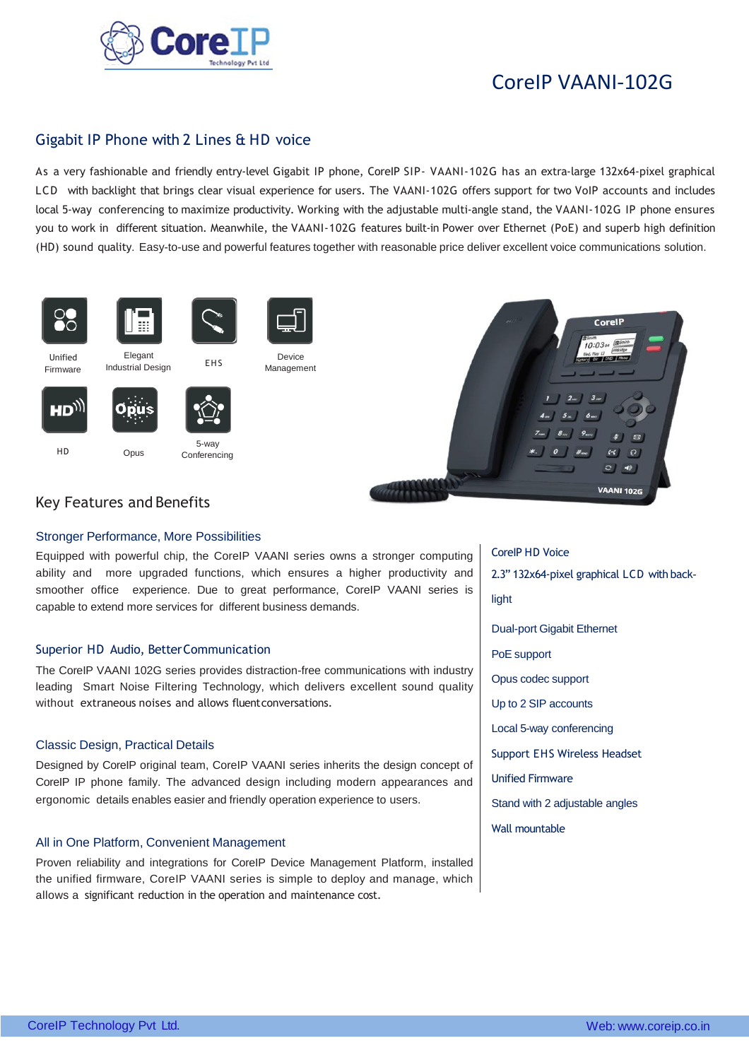

# CoreIP VAANI-102G

# Gigabit IP Phone with 2 Lines & HD voice

As a very fashionable and friendly entry-level Gigabit IP phone, CoreIP SIP- VAANI-102G has an extra-large 132x64-pixel graphical LCD with backlight that brings clear visual experience for users. The VAANI-102G offers support for two VoIP accounts and includes local 5-way conferencing to maximize productivity. Working with the adjustable multi-angle stand, the VAANI-102G IP phone ensures you to work in different situation. Meanwhile, the VAANI-102G features built-in Power over Ethernet (PoE) and superb high definition (HD) sound quality. Easy-to-use and powerful features together with reasonable price deliver excellent voice communications solution.



 $HD_{jj}$ 







**Conferencing** 



# Key Features and Benefits

# Stronger Performance, More Possibilities

Equipped with powerful chip, the CoreIP VAANI series owns a stronger computing ability and more upgraded functions, which ensures a higher productivity and smoother office experience. Due to great performance, CoreIP VAANI series is capable to extend more services for different business demands.

Device

# Superior HD Audio, Better Communication

The CoreIP VAANI 102G series provides distraction-free communications with industry leading Smart Noise Filtering Technology, which delivers excellent sound quality without extraneous noises and allows fluentconversations.

# Classic Design, Practical Details

Designed by CoreIP original team, CoreIP VAANI series inherits the design concept of CoreIP IP phone family. The advanced design including modern appearances and ergonomic details enables easier and friendly operation experience to users.

# All in One Platform, Convenient Management

Proven reliability and integrations for CoreIP Device Management Platform, installed the unified firmware, CoreIP VAANI series is simple to deploy and manage, which allows a significant reduction in the operation and maintenance cost.

CoreIP HD Voice 2.3" 132x64-pixel graphical LCD with backlight Dual-port Gigabit Ethernet PoE support Opus codec support Up to 2 SIP accounts Local 5-way conferencing Support EHS Wireless Headset Unified Firmware Stand with 2 adjustable angles Wall mountable